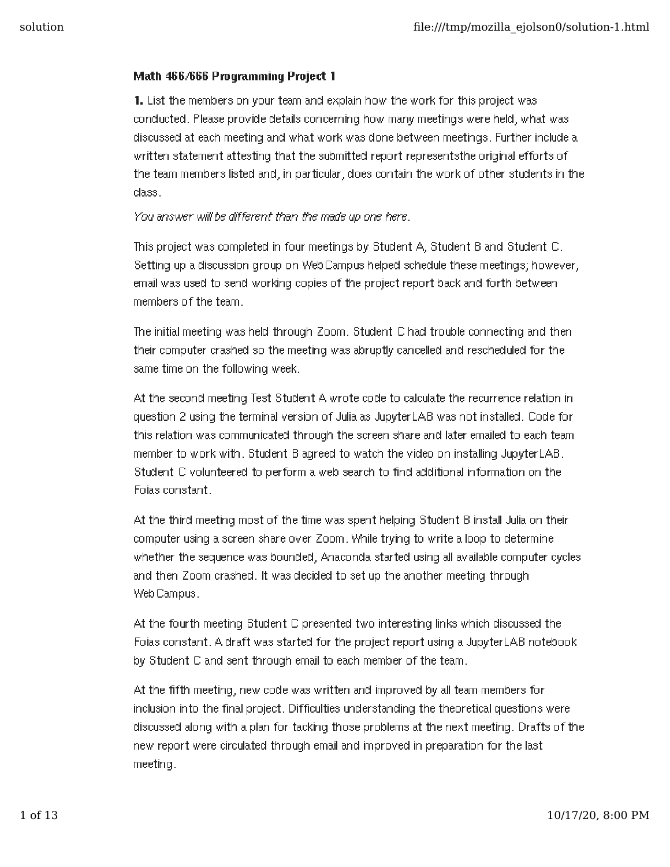## Math 466/666 Programming Project 1

1. List the members on your team and explain how the work for this project was conducted. Please provide details concerning how many meetings were held, what was discussed at each meeting and what work was done between meetings. Further include a written statement attesting that the submitted report representsthe original efforts of the team members listed and, in particular, does contain the work of other students in the class.

You answer will be different than the made up one here.

This project was completed in four meetings by Student A, Student B and Student C. Setting up a discussion group on WebCampus helped schedule these meetings; however, email was used to send working copies of the project report back and forth between members of the team.

The initial meeting was held through Zoom. Student C had trouble connecting and then their computer crashed so the meeting was abruptly cancelled and rescheduled for the same time on the following week.

At the second meeting Test Student A wrote code to calculate the recurrence relation in question 2 using the terminal version of Julia as JupyterLAB was not installed. Code for this relation was communicated through the screen share and later emailed to each team member to work with. Student B agreed to watch the video on installing JupyterLAB. Student C volunteered to perform a web search to find additional information on the Foias constant.

At the third meeting most of the time was spent helping Student B install Julia on their computer using a screen share over Zoom. While trying to write a loop to determine whether the sequence was bounded, Anaconda started using all available computer cycles and then Zoom crashed. It was decided to set up the another meeting through WebCampus.

At the fourth meeting Student C presented two interesting links which discussed the Foias constant. A draft was started for the project report using a JupyterLAB notebook by Student C and sent through email to each member of the team.

At the fifth meeting, new code was written and improved by all team members for inclusion into the final project. Difficulties understanding the theoretical questions were discussed along with a plan for tacking those problems at the next meeting. Drafts of the new report were circulated through email and improved in preparation for the last meeting.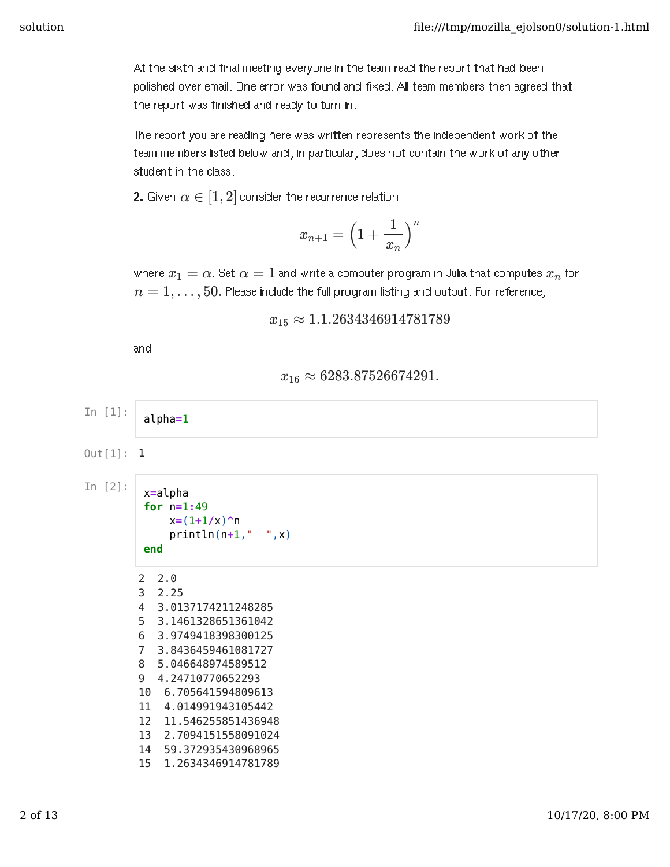At the sixth and final meeting everyone in the team read the report that had been polished over email. One error was found and fixed. All team members then agreed that the report was finished and ready to turn in.

The report you are reading here was written represents the independent work of the team members listed below and, in particular, does not contain the work of any other student in the class.

**2.** Given  $\alpha \in [1,2]$  consider the recurrence relation

$$
x_{n+1}=\Big(1+\frac{1}{x_n}\Big)^n
$$

where  $x_1 = \alpha$ . Set  $\alpha = 1$  and write a computer program in Julia that computes  $x_n$  for  $n=1,\ldots,50.$  Please include the full program listing and output. For reference,

```
x_{15} \approx 1.1.2634346914781789
```
and

## $x_{16} \approx 6283.87526674291.$

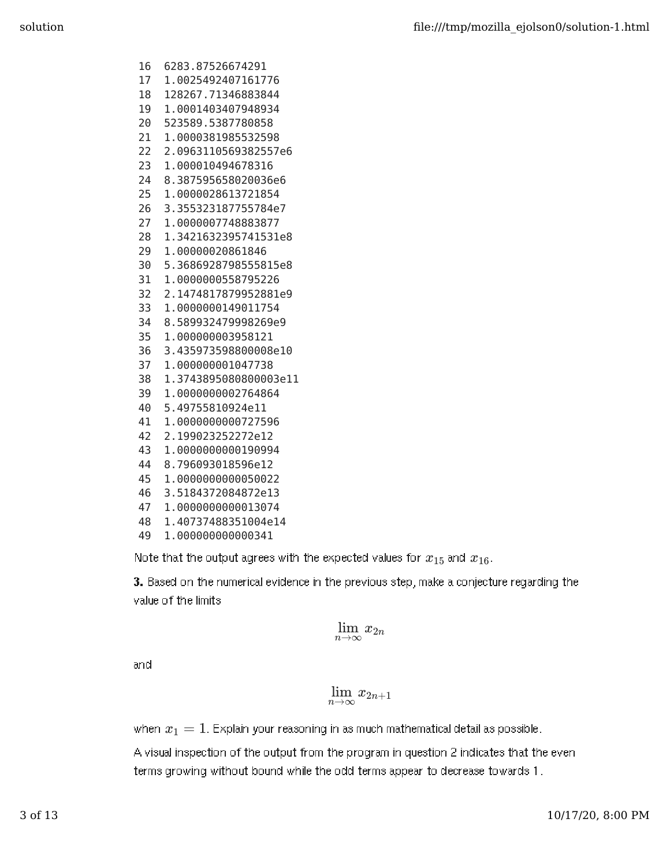- 16 6283.87526674291
- 17 1.0025492407161776
- 18 128267.71346883844
- 19 1.0001403407948934
- 20 523589.5387780858
- 21 1.0000381985532598
- 22 2.0963110569382557e6
- 23 1.000010494678316
- 24 8.387595658020036e6
- 25 1.0000028613721854
- 26 3.355323187755784e7
- 27 1.0000007748883877
- 28 1.3421632395741531e8
- 29 1.00000020861846
- 30 5.3686928798555815e8
- 31 1.0000000558795226
- 32 2.1474817879952881e9
- 33 1.0000000149011754
- 34 8.589932479998269e9
- 35 1.000000003958121
- 36 3.435973598800008e10
- 37 1.000000001047738
- 38 1.3743895080800003e11
- 39 1.0000000002764864
- 40 5.49755810924e11
- 41 1.0000000000727596
- 42 2.199023252272e12
- 43 1.0000000000190994
- 44 8.796093018596e12
- 45 1.0000000000050022
- 46 3.5184372084872e13
- 47 1.0000000000013074
- 48 1.40737488351004e14
- 49 1.000000000000341

Note that the output agrees with the expected values for  $x_{15}$  and  $x_{16}$ .

3. Based on the numerical evidence in the previous step, make a conjecture regarding the value of the limits

$$
\lim_{n\to\infty}x_{2n}
$$

and

$$
\lim_{n\to\infty}x_{2n+1}
$$

when  $x_1 = 1$ . Explain your reasoning in as much mathematical detail as possible.

A visual inspection of the output from the program in question 2 indicates that the even terms growing without bound while the odd terms appear to decrease towards 1.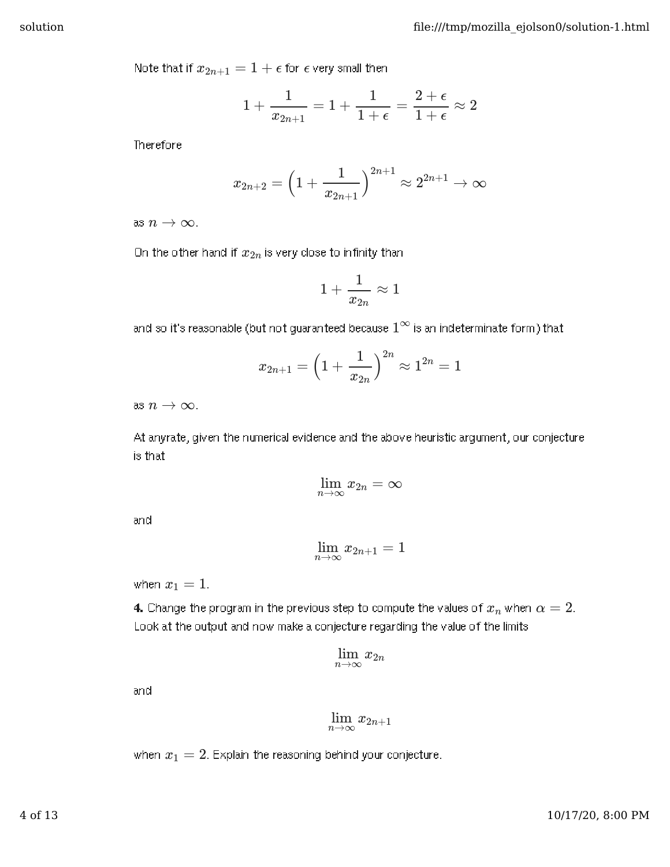Note that if  $x_{2n+1} = 1 + \epsilon$  for  $\epsilon$  very small then

$$
1+\frac{1}{x_{2n+1}}=1+\frac{1}{1+\epsilon}=\frac{2+\epsilon}{1+\epsilon}\approx 2
$$

Therefore

$$
x_{2n+2} = \left(1 + \frac{1}{x_{2n+1}}\right)^{2n+1} \approx 2^{2n+1} \to \infty
$$

as  $n \to \infty$  .

On the other hand if  $x_{2n}$  is very close to infinity than

$$
1+\frac{1}{x_{2n}}\approx 1
$$

and so it's reasonable (but not guaranteed because  $1^\infty$  is an indeterminate form) that

$$
x_{2n+1} = \Big(1 + \frac{1}{x_{2n}}\Big)^{2n} \approx 1^{2n} = 1
$$

as  $n \to \infty$  .

At anyrate, given the numerical evidence and the above heuristic argument, our conjecture is that

$$
\lim_{n\to\infty}x_{2n}=\infty
$$

and

$$
\lim_{n\to\infty}x_{2n+1}=1
$$

when  $x_1 = 1$ .

**4.** Change the program in the previous step to compute the values of  $x_n$  when  $\alpha=2.$ Look at the output and now make a conjecture regarding the value of the limits

$$
\lim_{n\to\infty}x_{2n}
$$

and

$$
\lim_{n\to\infty}x_{2n+1}
$$

when  $x_1 = 2$ . Explain the reasoning behind your conjecture.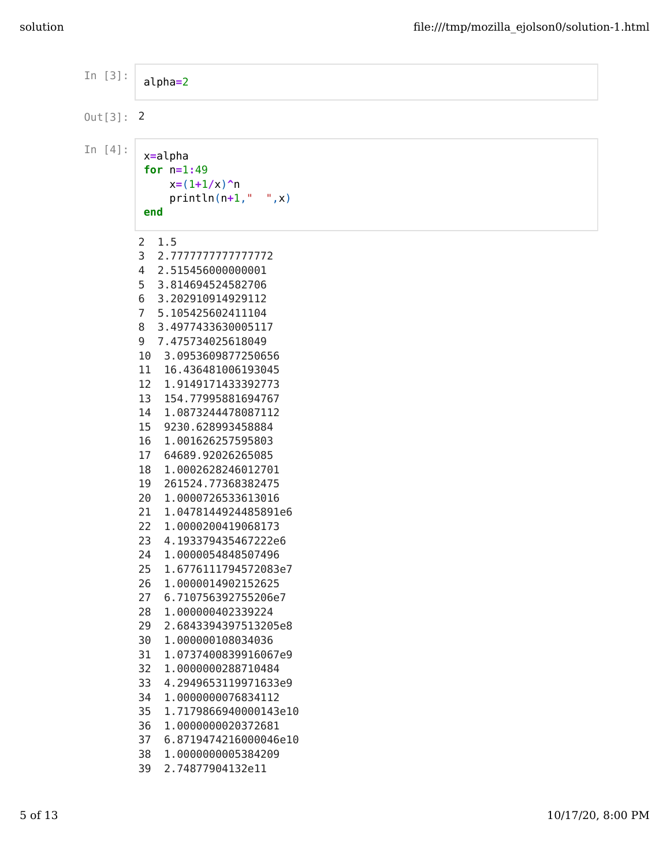| In $[3]$ :   | $alpha=2$                                                                                                                                                                                                                                                                                                                                                                                                                                                                                                                                                                                                                                                                                                                                                                                                                                                                                                                                                                                                                    |
|--------------|------------------------------------------------------------------------------------------------------------------------------------------------------------------------------------------------------------------------------------------------------------------------------------------------------------------------------------------------------------------------------------------------------------------------------------------------------------------------------------------------------------------------------------------------------------------------------------------------------------------------------------------------------------------------------------------------------------------------------------------------------------------------------------------------------------------------------------------------------------------------------------------------------------------------------------------------------------------------------------------------------------------------------|
| $0$ ut[3]: 2 |                                                                                                                                                                                                                                                                                                                                                                                                                                                                                                                                                                                                                                                                                                                                                                                                                                                                                                                                                                                                                              |
| In $[4]$ :   | $x = a$ lpha<br>for $n=1:49$<br>$x=(1+1/x)^n$<br>$println(n+1, " " , x)$<br>end                                                                                                                                                                                                                                                                                                                                                                                                                                                                                                                                                                                                                                                                                                                                                                                                                                                                                                                                              |
|              | 1.5<br>2<br>3<br>2.777777777777772<br>2.515456000000001<br>4<br>5<br>3.814694524582706<br>6<br>3.202910914929112<br>7<br>5.105425602411104<br>8<br>3.4977433630005117<br>7.475734025618049<br>9<br>10<br>3.0953609877250656<br>16.436481006193045<br>11<br>12<br>1.9149171433392773<br>13<br>154.77995881694767<br>1.0873244478087112<br>14<br>15<br>9230.628993458884<br>16<br>1.001626257595803<br>17<br>64689.92026265085<br>18<br>1.0002628246012701<br>261524.77368382475<br>19<br>20<br>1.0000726533613016<br>21<br>1.0478144924485891e6<br>22<br>1.0000200419068173<br>23<br>4.193379435467222e6<br>24<br>1.0000054848507496<br>25<br>1.6776111794572083e7<br>26<br>1.0000014902152625<br>27<br>6.710756392755206e7<br>28<br>1.000000402339224<br>29<br>2.6843394397513205e8<br>30<br>1.000000108034036<br>31<br>1.0737400839916067e9<br>32<br>1.0000000288710484<br>33<br>4.2949653119971633e9<br>34<br>1.0000000076834112<br>35<br>1.7179866940000143e10<br>36<br>1.0000000020372681<br>37<br>6.8719474216000046e10 |
|              | 38<br>1.0000000005384209<br>39<br>2.74877904132e11                                                                                                                                                                                                                                                                                                                                                                                                                                                                                                                                                                                                                                                                                                                                                                                                                                                                                                                                                                           |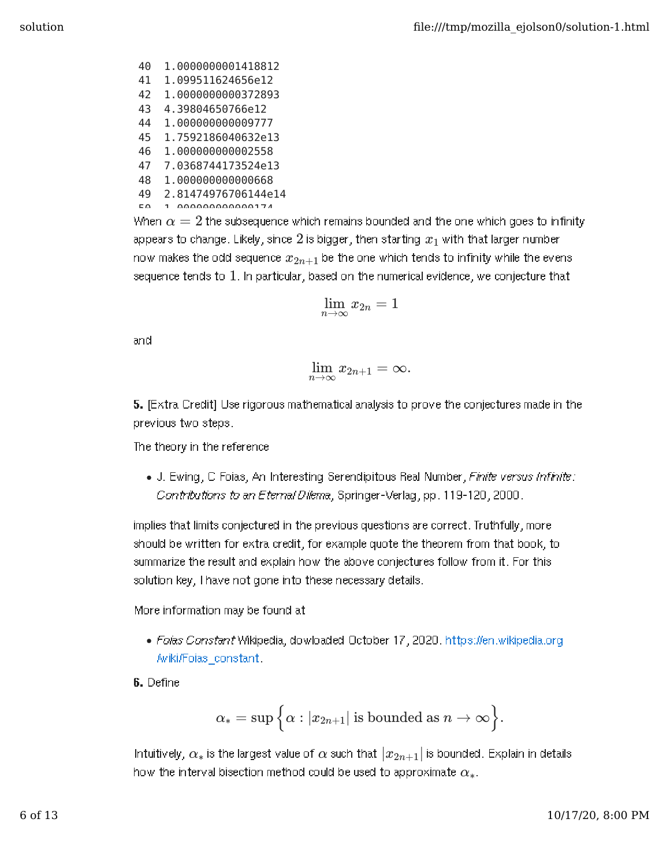40 1.0000000001418812 41 1.099511624656e12 42 1.0000000000372893 43 4.39804650766e12 44 1.000000000009777 45 1.7592186040632e13 46 1.000000000002558 47 7.0368744173524e13 48 1.000000000000668 49 2.81474976706144e14

50 1.000000000000174

When  $\alpha = 2$  the subsequence which remains bounded and the one which goes to infinity appears to change. Likely, since  $2$  is bigger, then starting  $x_1$  with that larger number now makes the odd sequence  $x_{2n+1}$  be the one which tends to infinity while the evens sequence tends to  $1_\cdot$  in particular, based on the numerical evidence, we conjecture that

$$
\lim_{n\to\infty}x_{2n}=1
$$

and

$$
\lim_{n\to\infty}x_{2n+1}=\infty.
$$

5. [Extra Credit] Use rigorous mathematical analysis to prove the conjectures made in the previous two steps.

The theory in the reference

J. Ewing, C Foias, An Interesting Serendipitous Real Number, Finite versus Infinite: Contributions to an Eternal Dilema, Springer-Verlag, pp. 119-120, 2000.

implies that limits conjectured in the previous questions are correct. Truthfully, more should be written for extra credit, for example quote the theorem from that book, to summarize the result and explain how the above conjectures follow from it. For this solution key, I have not gone into these necessary details.

More information may be found at

- Foias Constant Wikipedia, dowloaded October 17, 2020. https://en.wikipedia.org /wiki/Foias\_constant.
- 6. Define

$$
\alpha_*=\sup\Big\{\alpha:|x_{2n+1}|\text{ is bounded as }n\to\infty\Big\}.
$$

Intuitively,  $\alpha_*$  is the largest value of  $\alpha$  such that  $|x_{2n+1}|$  is bounded. Explain in details how the interval bisection method could be used to approximate  $\alpha_*.$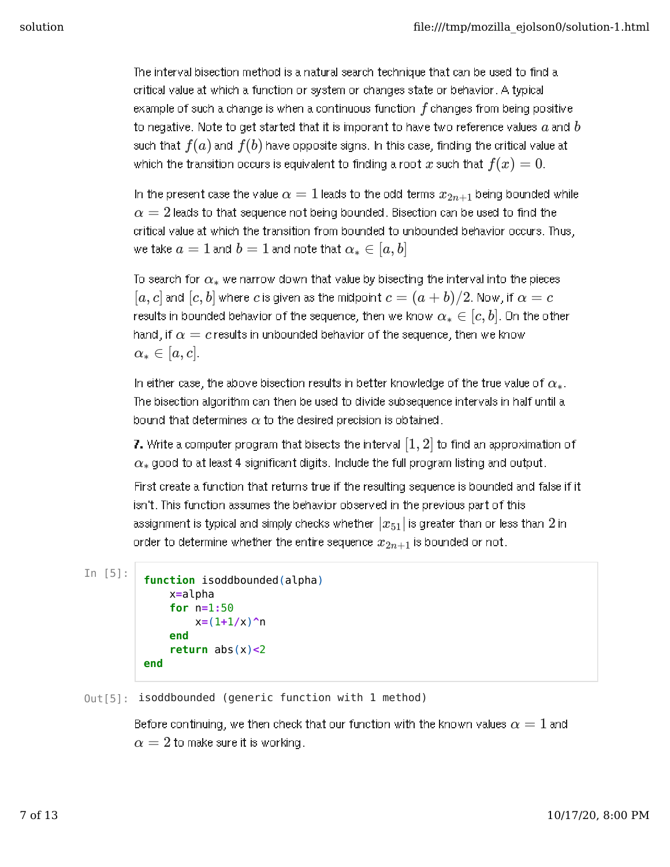The interval bisection method is a natural search technique that can be used to find a critical value at which a function or system or changes state or behavior. A typical example of such a change is when a continuous function  $f$  changes from being positive to negative. Note to get started that it is imporant to have two reference values  $a$  and  $b$ such that  $f(a)$  and  $f(b)$  have opposite signs. In this case, finding the critical value at which the transition occurs is equivalent to finding a root  $x$  such that  $f(x) = 0.$ 

In the present case the value  $\alpha=1$  leads to the odd terms  $x_{2n+1}$  being bounded while  $\alpha=2$  leads to that sequence not being bounded. Bisection can be used to find the critical value at which the transition from bounded to unbounded behavior occurs. Thus,  $a = 1$  and  $b = 1$  and note that  $\alpha_* \in [a,b]$ 

To search for  $\alpha_*$  we narrow down that value by bisecting the interval into the pieces  $[a, c]$  and  $[c, b]$  where  $c$  is given as the midpoint  $c = (a + b)/2$ . Now, if  $\alpha = c$ results in bounded behavior of the sequence, then we know  $\alpha_* \in [c,b]$ . On the other hand, if  $\alpha = c$  results in unbounded behavior of the sequence, then we know  $\alpha_*\in [a,c]$  .

In either case, the above bisection results in better knowledge of the true value of  $\alpha_*$ . The bisection algorithm can then be used to divide subsequence intervals in half until a bound that determines  $\alpha$  to the desired precision is obtained.

7. Write a computer program that bisects the interval  $\left[1,2\right]$  to find an approximation of  $\alpha_*$  good to at least 4 significant digits. Include the full program listing and output.

First create a function that returns true if the resulting sequence is bounded and false if it isn't. This function assumes the behavior observed in the previous part of this assignment is typical and simply checks whether  $\left|x_{51}\right|$  is greater than or less than  $2$  in order to determine whether the entire sequence  $x_{2n+1}$  is bounded or not.

In  $[5]$ :

```
function isoddbounded(alpha)
    x=alpha
    for n=1:50
        x=(1+1/x)^n
    end
    return abs(x)<2
end
```
 $Out[5]$ : isoddbounded (generic function with 1 method)

Before continuing, we then check that our function with the known values  $\alpha=1$  and  $\alpha=2$  to make sure it is working.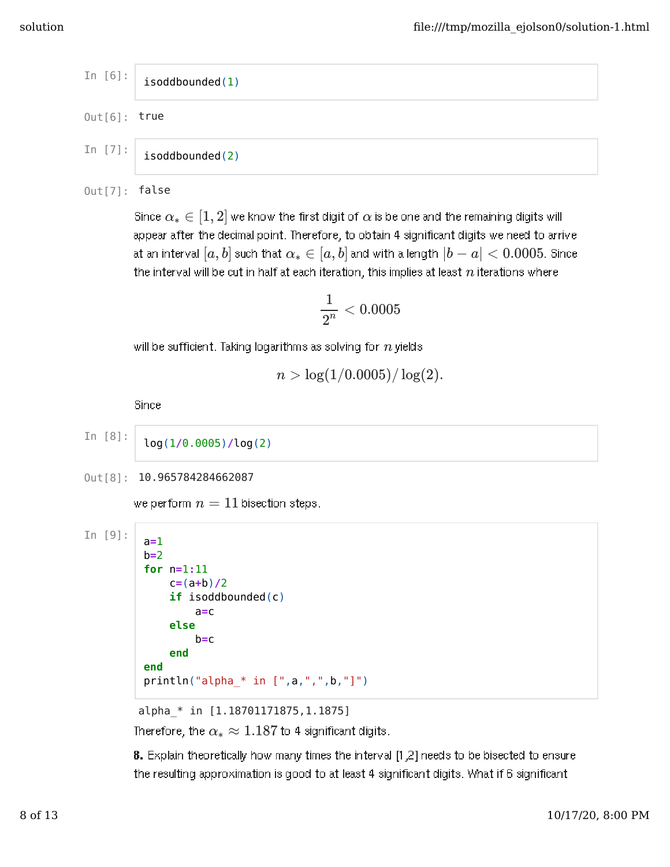$$
\begin{array}{c|c}\nIn [6]: \n is odd bounded(1)\n\end{array}
$$
\n
$$
Out[6]: \ntrue
$$

In  $[7]$ : isoddbounded(2)

 $Out[7]$ : false

Since  $\alpha_*\in[1,2]$  we know the first digit of  $\alpha$  is be one and the remaining digits will appear after the decimal point. Therefore, to obtain 4 significant digits we need to arrive  $a$ t an interval  $[a, b]$  such that  $\alpha_* \in [a, b]$  and with a length  $|b - a| < 0.0005$ . Since the interval will be cut in half at each iteration, this implies at least  $\boldsymbol{n}$  iterations where

$$
\frac{1}{2^n}<0.0005
$$

will be sufficient. Taking logarithms as solving for  $n$  yields

$$
n > \log(1/0.0005)/\log(2).
$$

Since

In [8]:

log(1**/**0.0005)**/**log(2)

```
0ut [8]: 10.965784284662087
```
we perform  $n=11$  bisection steps.

```
In [9]:
         a=1
         b=2
         for n=1:11
             c=(a+b)/2
             if isoddbounded(c)
                  a=c
             else
                 b=c
             end
         end
         println("alpha * in [",a,"",b,"]'
```
alpha\_\* in [1.18701171875,1.1875] Therefore, the  $\alpha_*\approx 1.187$  to 4 significant digits.

8. Explain theoretically how many times the interval [1,2] needs to be bisected to ensure the resulting approximation is good to at least 4 significant digits. What if 6 significant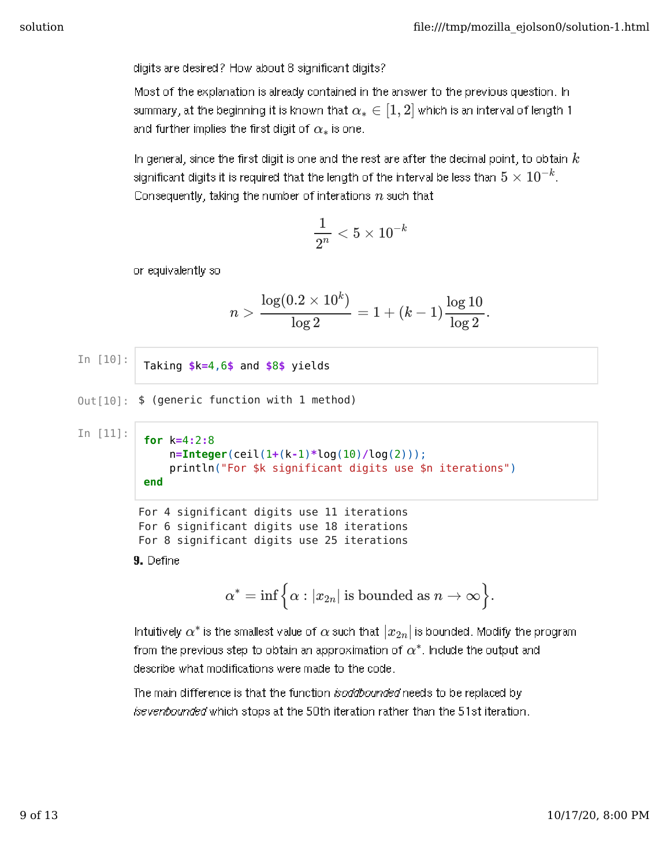digits are desired? How about 8 significant digits?

Most of the explanation is already contained in the answer to the previous question. In summary, at the beginning it is known that  $\alpha_*\in[1,2]$  which is an interval of length 1 and further implies the first digit of  $\alpha_*$  is one.

In general, since the first digit is one and the rest are after the decimal point, to obtain  $k$ significant digits it is required that the length of the interval be less than  $5\times10^{-k}$ . Consequently, taking the number of interations  $n$  such that

$$
\frac{1}{2^n}<5\times 10^{-k}
$$

or equivalently so

$$
n > \frac{\log(0.2 \times 10^k)}{\log 2} = 1 + (k-1) \frac{\log 10}{\log 2}.
$$

In  $[10]:$ 

Taking **\$**k**=**4,6**\$** and **\$**8**\$** yields

 $Out[10]:$  \$ (generic function with 1 method)

In  $[11]$ :

```
for k=4:2:8
    n=Integer(ceil(1+(k-1)*log(10)/log(2)));
    println("For $k significant digits use $n iterations")
end
```
For 4 significant digits use 11 iterations For 6 significant digits use 18 iterations For 8 significant digits use 25 iterations

9. Define

$$
\alpha^*=\inf\Big\{\alpha:|x_{2n}|\text{ is bounded as }n\to\infty\Big\}.
$$

Intuitively  $\alpha^*$  is the smallest value of  $\alpha$  such that  $|x_{2n}|$  is bounded. Modify the program from the previous step to obtain an approximation of  $\alpha^{*}.$  Include the output and describe what modifications were made to the code.

The main difference is that the function isoddbounded needs to be replaced by isevenbounded which stops at the 50th iteration rather than the 51st iteration.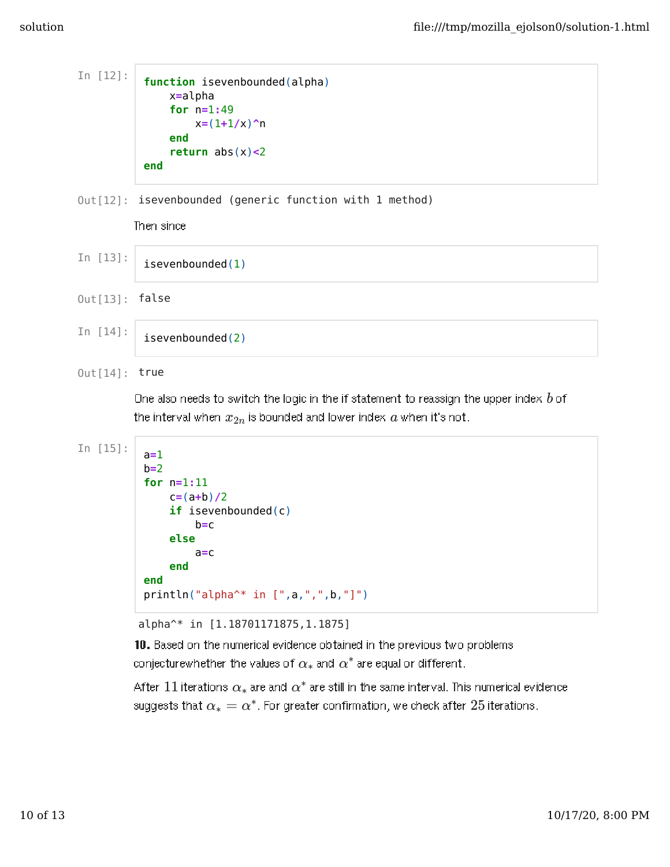```
In [12]:
          function isevenbounded(alpha)
               x=alpha
               for n=1:49
                   x=(1+1/x)^n
               end
               return abs(x)<2
          end
```
 $Out[12]$ : isevenbounded (generic function with 1 method)

Then since

```
In [13]:
          isevenbounded(1)
Out[13]: false
```

```
isevenbounded(2)
```
 $Out[14]$ : true

In  $[14]$ :

One also needs to switch the logic in the if statement to reassign the upper index  $b$  of the interval when  $x_{2n}$  is bounded and lower index  $a$  when it's not.

```
In [15]:
          a=1
          b=2
          for n=1:11
               c=(a+b)/2
               if isevenbounded(c)
                   b=c
               else
                   a=c
               end
          end
          println("alpha^* in [",a,",",b,"]")
```
alpha^\* in [1.18701171875,1.1875]

10. Based on the numerical evidence obtained in the previous two problems conjecturewhether the values of  $\alpha_*$  and  $\alpha^*$  are equal or different.

After  $11$  iterations  $\alpha_*$  are and  $\alpha^*$  are still in the same interval. This numerical evidence  $\alpha$ suggests that  $\alpha_* = \alpha^*$ . For greater confirmation, we check after  $25$  iterations.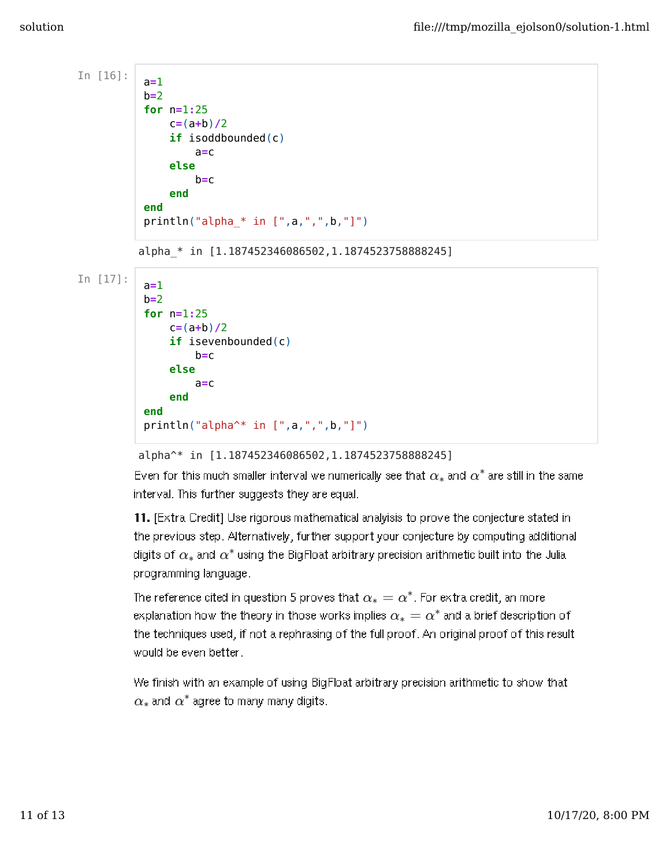```
In [16]:
          a=1
          b=2
          for n=1:25
              c=(a+b)/2
               if isoddbounded(c)
                   a=c
               else
                   b=c
               end
          end
          println("alpha_* in [",a,",",b,"]")
         alpha_* in [1.187452346086502,1.1874523758888245]
In [17]:a=1
          b=2
          for n=1:25
              c=(a+b)/2
              if isevenbounded(c)
                   b=c
              else
                   a=c
               end
          end
          println("alpha^* in [",a,",",b,"]")
```
## alpha^\* in [1.187452346086502,1.1874523758888245]

Even for this much smaller interval we numerically see that  $\alpha_*$  and  $\alpha^*$  are still in the same interval. This further suggests they are equal.

11. [Extra Credit] Use rigorous mathematical analyisis to prove the conjecture stated in the previous step. Alternatively, further support your conjecture by computing additional digits of  $\alpha_*$  and  $\alpha^*$  using the BigFloat arbitrary precision arithmetic built into the Julia. programming language.

The reference cited in question 5 proves that  $\alpha_*=\alpha^*$ . For extra credit, an more explanation how the theory in those works implies  $\alpha_* = \alpha^*$  and a brief description of the techniques used, if not a rephrasing of the full proof. An original proof of this result would be even better.

We finish with an example of using BigFloat arbitrary precision arithmetic to show that  $\alpha_*$  and  $\alpha^*$  agree to many many digits.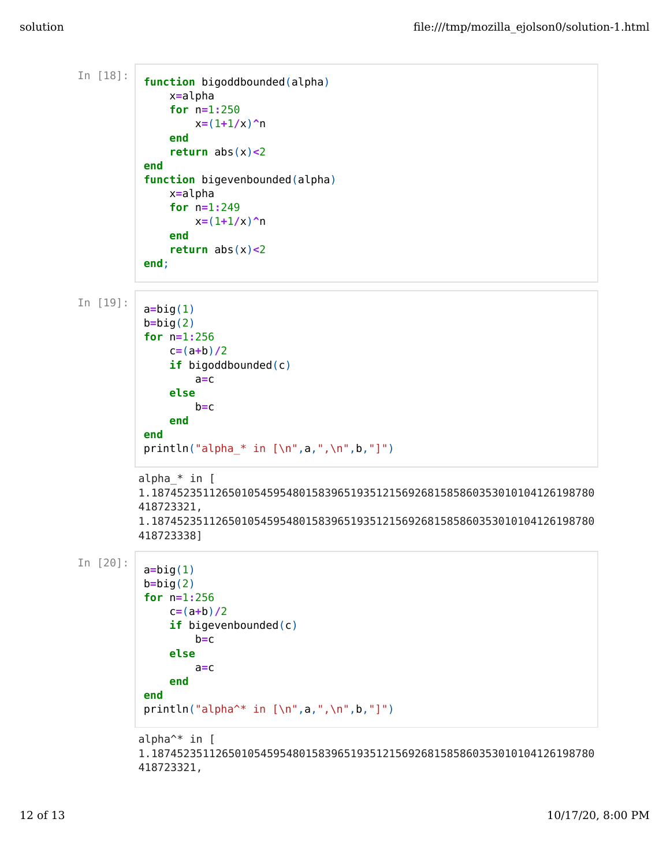```
In [18]:
          function bigoddbounded(alpha)
              x=alpha
               for n=1:250
                   x=(1+1/x)^n
               end
               return abs(x)<2
          end
          function bigevenbounded(alpha)
              x=alpha
               for n=1:249
                   x=(1+1/x)^n
              end
               return abs(x)<2
          end;
In [19]:
          a=big(1)
          b=big(2)
          for n=1:256
              c=(a+b)/2
               if bigoddbounded(c)
                   a=c
              else
                   b=c
              end
          end
          println("alpha * in [\n\n\cdot a, ",\n\n\cdot b, "]")alpha_* in [
         1.187452351126501054595480158396519351215692681585860353010104126198780
         418723321,
         1.187452351126501054595480158396519351215692681585860353010104126198780
         418723338]
In [20]:a=big(1)
          b=big(2)
          for n=1:256
              c=(a+b)/2
               if bigevenbounded(c)
                   b=c
              else
                   a=c
              end
          end
          println("alpha^* in [\n",a,",\n",b,"]")
         alpha^* in [
         1.187452351126501054595480158396519351215692681585860353010104126198780
         418723321,
```